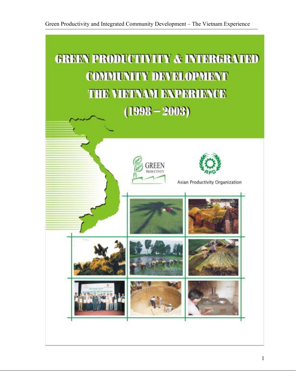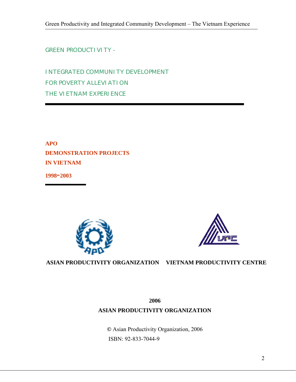**GREEN PRODUCTI VI TY -**

INTEGRATED COMMUNITY DEVELOPMENT FOR POVERTY ALLEVIATION THE VIETNAM EXPERIENCE

**APO DEMONSTRATION PROJECTS IN VIETNAM** 

**1998-2003** 





**ASIAN PRODUCTIVITY ORGANIZATION VIETNAM PRODUCTIVITY CENTRE**

**2006 ASIAN PRODUCTIVITY ORGANIZATION** 

**©** Asian Productivity Organization, 2006 ISBN: 92-833-7044-9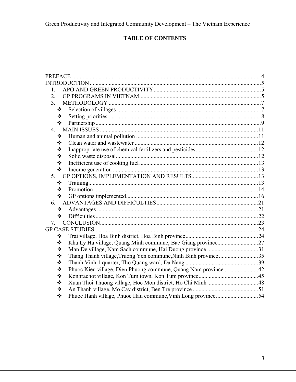# **TABLE OF CONTENTS**

| PREFACE.         |                                                                |  |
|------------------|----------------------------------------------------------------|--|
|                  |                                                                |  |
| 1.               |                                                                |  |
| $\overline{2}$ . |                                                                |  |
| 3 <sub>1</sub>   |                                                                |  |
| ❖                |                                                                |  |
| ❖                |                                                                |  |
| ❖                |                                                                |  |
| $\overline{4}$ . |                                                                |  |
| ❖                |                                                                |  |
| ❖                |                                                                |  |
| ❖                |                                                                |  |
| ❖                |                                                                |  |
| ❖                |                                                                |  |
| ❖                |                                                                |  |
| 5.               |                                                                |  |
| ❖                |                                                                |  |
| ❖                |                                                                |  |
| ❖                |                                                                |  |
| 6.               |                                                                |  |
| ❖                |                                                                |  |
| $\cdot$          |                                                                |  |
| 7                |                                                                |  |
|                  |                                                                |  |
| ❖                |                                                                |  |
| ❖                |                                                                |  |
| ❖                |                                                                |  |
| ❖                | Thang Thanh village, Truong Yen commune, Ninh Binh province35  |  |
| ❖                |                                                                |  |
| ❖                | Phuoc Kieu village, Dien Phuong commune, Quang Nam province 42 |  |
| ❖                |                                                                |  |
| ❖                |                                                                |  |
| ❖                |                                                                |  |
| ❖                | Phuoc Hanh village, Phuoc Hau commune, Vinh Long province54    |  |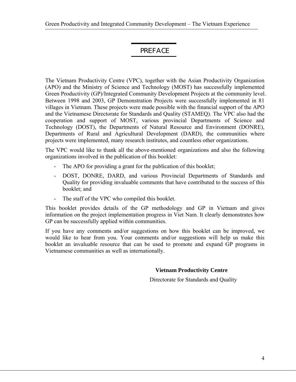# PREFACE

The Vietnam Productivity Centre (VPC), together with the Asian Productivity Organization (APO) and the Ministry of Science and Technology (MOST) has successfully implemented Green Productivity (GP)/Integrated Community Development Projects at the community level. Between 1998 and 2003, GP Demonstration Projects were successfully implemented in 81 villages in Vietnam. These projects were made possible with the financial support of the APO and the Vietnamese Directorate for Standards and Quality (STAMEQ). The VPC also had the cooperation and support of MOST, various provincial Departments of Science and Technology (DOST), the Departments of Natural Resource and Environment (DONRE), Departments of Rural and Agricultural Development (DARD), the communities where projects were implemented, many research institutes, and countless other organizations.

The VPC would like to thank all the above-mentioned organizations and also the following organizations involved in the publication of this booklet:

- The APO for providing a grant for the publication of this booklet;
- DOST, DONRE, DARD, and various Provincial Departments of Standards and Quality for providing invaluable comments that have contributed to the success of this booklet; and
- The staff of the VPC who compiled this booklet.

This booklet provides details of the GP methodology and GP in Vietnam and gives information on the project implementation progress in Viet Nam. It clearly demonstrates how GP can be successfully applied within communities.

If you have any comments and/or suggestions on how this booklet can be improved, we would like to hear from you. Your comments and/or suggestions will help us make this booklet an invaluable resource that can be used to promote and expand GP programs in Vietnamese communities as well as internationally.

#### **Vietnam Productivity Centre**

Directorate for Standards and Quality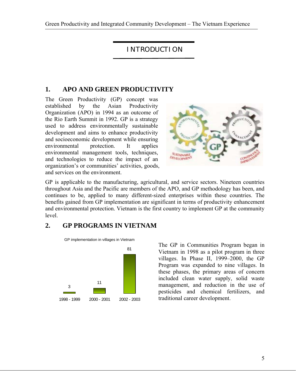Green Productivity and Integrated Community Development – The Vietnam Experience

INTRODUCTION

## **1. APO AND GREEN PRODUCTIVITY**

The Green Productivity (GP) concept was established by the Asian Productivity Organization (APO) in 1994 as an outcome of the Rio Earth Summit in 1992. GP is a strategy used to address environmentally sustainable development and aims to enhance productivity and socioeconomic development while ensuring environmental protection. It applies environmental management tools, techniques, and technologies to reduce the impact of an organization's or communities' activities, goods, and services on the environment.



GP is applicable to the manufacturing, agricultural, and service sectors. Nineteen countries throughout Asia and the Pacific are members of the APO, and GP methodology has been, and continues to be, applied to many different-sized enterprises within these countries. The benefits gained from GP implementation are significant in terms of productivity enhancement and environmental protection. Vietnam is the first country to implement GP at the community level.

# **2. GP PROGRAMS IN VIETNAM**



The GP in Communities Program began in Vietnam in 1998 as a pilot program in three villages. In Phase II, 1999–2000, the GP Program was expanded to nine villages. In these phases, the primary areas of concern included clean water supply, solid waste management, and reduction in the use of pesticides and chemical fertilizers, and traditional career development.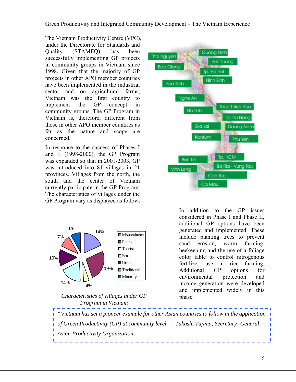The Vietnam Productivity Centre (VPC), under the Directorate for Standards and Quality (STAMEQ), has been successfully implementing GP projects in community groups in Vietnam since 1998. Given that the majority of GP projects in other APO member countries have been implemented in the industrial sector and on agricultural farms, Vietnam was the first country to implement the GP concept in community groups. The GP Program in Vietnam is, therefore, different from those in other APO member countries as far as the nature and scope are concerned.

In response to the success of Phases I and II (1998-2000), the GP Program was expanded so that in 2001-2003, GP was introduced into 81 villages in 21 provinces. Villages from the north, the south and the center of Vietnam currently participate in the GP Program. The characteristics of villages under the GP Program vary as displayed as follow:



*Characteristics of villages under GP* phase. *Program in Vietnam* 



In addition to the GP issues considered in Phase I and Phase II, additional GP options have been generated and implemented. These include planting trees to prevent sand erosion, worm farming, beekeeping and the use of a foliage color table to control nitrogenous fertilizer use in rice farming. Additional GP options for environmental protection and income generation were developed and implemented widely in this

*"Vietnam has set a pioneer example for other Asian countries to follow in the application of Green Productivity (GP) at community level" – Takashi Tajima, Secretary -General – Asian Productivity Organization*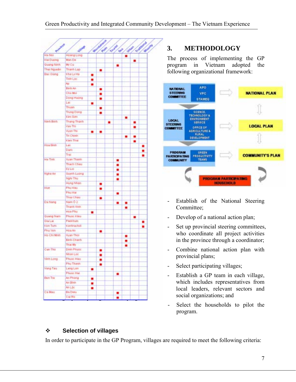|                  |                    |   | March Mega |  |                          |   | <b>SILA ANDREA</b><br>Mand <sup>es</sup> |   |  |
|------------------|--------------------|---|------------|--|--------------------------|---|------------------------------------------|---|--|
| Province         | <b>All Co</b>      |   | RA         |  | Touris<br>$\mathbf{v}^2$ |   |                                          |   |  |
| Ha Noi           | Howng Long         |   |            |  |                          |   |                                          |   |  |
| <b>Hal Dusng</b> | <b>Man De</b>      |   |            |  |                          |   |                                          |   |  |
| Quang Nmh        | My Cu              |   |            |  |                          |   |                                          |   |  |
| That Nguyên      | Thanh Lap          |   | ۰          |  |                          |   |                                          |   |  |
| Bar Olang        | Kha Ly Ha          | ۰ |            |  |                          |   |                                          |   |  |
|                  | Tinh Loc           | ٠ |            |  |                          |   |                                          |   |  |
|                  | Ago                |   |            |  |                          |   |                                          |   |  |
|                  | <b>Binfr</b> Art.  |   | ٠          |  |                          |   |                                          |   |  |
|                  | CRO Mot            |   |            |  |                          |   |                                          |   |  |
|                  | Dong Huang         |   | ۰          |  |                          |   |                                          |   |  |
|                  | Lat                | ۰ |            |  |                          |   |                                          |   |  |
|                  | Thuan              |   | ۰          |  |                          |   |                                          |   |  |
|                  | Thung Dong         |   |            |  |                          |   |                                          |   |  |
|                  | <b>Unt San</b>     |   |            |  |                          |   |                                          |   |  |
| himh Binh.       | Thang Tharth       |   |            |  |                          |   |                                          |   |  |
|                  | Van Thi            |   |            |  |                          |   |                                          |   |  |
|                  | Wyon Thi           | ٠ | ■          |  |                          |   |                                          |   |  |
|                  | Trt Chinh          |   |            |  |                          |   |                                          |   |  |
|                  | <b>IGen That</b>   |   |            |  |                          |   |                                          |   |  |
| Hos Birth        | Lac                |   |            |  |                          |   |                                          | ۰ |  |
|                  | Dam                |   |            |  |                          |   |                                          |   |  |
|                  | Trail              |   |            |  |                          |   |                                          |   |  |
| Ha Tinh          | <b>Xuan Tham</b>   |   |            |  |                          |   |                                          |   |  |
|                  | <b>Thach Chau</b>  |   |            |  | ۰                        |   |                                          |   |  |
|                  | Fix Lot            |   |            |  |                          |   |                                          |   |  |
| Nghie An-        | Guynh Luong        |   |            |  |                          |   |                                          |   |  |
|                  | Nghi Thu           |   |            |  | ۰                        |   |                                          |   |  |
|                  | Hung Nhan          |   |            |  |                          |   |                                          |   |  |
| Hue              | Phy Hau            |   |            |  |                          |   |                                          |   |  |
|                  | Phu Har            |   |            |  |                          |   |                                          |   |  |
|                  | <b>Thuy Chau</b>   |   |            |  | ۰                        |   |                                          |   |  |
| Da Nang          | Nam 02             |   | ۰          |  |                          |   |                                          |   |  |
|                  | Thanh Vinn         |   |            |  | ۰                        |   |                                          |   |  |
|                  | Hita Phy           |   |            |  |                          | - |                                          |   |  |
| Quang Nam        | Phone like         | ٠ |            |  |                          |   |                                          |   |  |
| Ola Lat          | Pleashum           |   |            |  |                          |   | ٠                                        |   |  |
| tion Turn        | Konfirachot        |   |            |  |                          |   |                                          |   |  |
| <b>Friu Ven</b>  | Hoa An             |   |            |  |                          |   |                                          |   |  |
| He Chi Minh      | <b>Numm Thai</b>   |   | ۰          |  |                          |   |                                          |   |  |
|                  | <b>Binh Charth</b> |   |            |  |                          |   |                                          |   |  |
|                  | Thai My            |   |            |  |                          |   |                                          |   |  |
| <b>Carl Thú</b>  | <b>Dinn Phuse</b>  |   |            |  |                          |   |                                          |   |  |
|                  |                    |   |            |  |                          |   |                                          |   |  |
|                  | N101 L00           |   |            |  |                          |   |                                          |   |  |
| Vinh Lang        | Phuos Hau          |   | ٠          |  |                          |   |                                          |   |  |
|                  | Phy Thanh          |   |            |  |                          |   |                                          |   |  |
| Vung Tau         | Lang Lon           | ٠ |            |  |                          |   |                                          |   |  |
|                  | Phupc Hall         |   |            |  | ٠                        |   |                                          |   |  |
| Ban Tra          | An Phong           | ٠ |            |  |                          |   |                                          |   |  |
|                  | Art Elinin         | ۰ |            |  |                          |   |                                          |   |  |
|                  | An Lòr.            | ٠ |            |  |                          |   |                                          |   |  |
| <b>Califau</b>   | <b>Ba Dieu</b>     |   |            |  |                          |   |                                          |   |  |
|                  | Cal Ro             |   |            |  |                          |   |                                          |   |  |

# **3. METHODOLOGY**

The process of implementing the GP program in Vietnam adopted the following organizational framework:



- Establish of the National Steering Committee;
- Develop of a national action plan;
- Set up provincial steering committees, who coordinate all project activities in the province through a coordinator;
- Combine national action plan with provincial plans;
- Select participating villages;
- Establish a GP team in each village, which includes representatives from local leaders, relevant sectors and social organizations; and
- Select the households to pilot the program.

## **Selection of villages**

In order to participate in the GP Program, villages are required to meet the following criteria: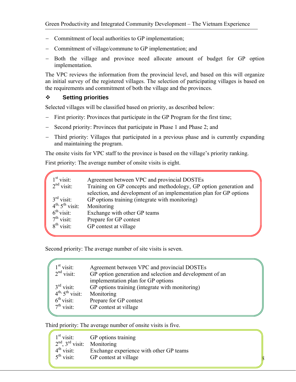- − Commitment of local authorities to GP implementation;
- − Commitment of village/commune to GP implementation; and
- − Both the village and province need allocate amount of budget for GP option implementation.

The VPC reviews the information from the provincial level, and based on this will organize an initial survey of the registered villages. The selection of participating villages is based on the requirements and commitment of both the village and the provinces.

#### **Setting priorities**

Selected villages will be classified based on priority, as described below:

- − First priority: Provinces that participate in the GP Program for the first time;
- − Second priority: Provinces that participate in Phase 1 and Phase 2; and
- Third priority: Villages that participated in a previous phase and is currently expanding and maintaining the program.

The onsite visits for VPC staff to the province is based on the village's priority ranking.

First priority: The average number of onsite visits is eight.

| $1st$ visit:               | Agreement between VPC and provincial DOSTEs                         |
|----------------------------|---------------------------------------------------------------------|
| $2nd$ visit:               | Training on GP concepts and methodology, GP option generation and   |
|                            | selection, and development of an implementation plan for GP options |
| $3rd$ visit:               | GP options training (integrate with monitoring)                     |
| $4^{th}$ , $5^{th}$ visit: | Monitoring                                                          |
| $6^{\text{th}}$ visit:     | Exchange with other GP teams                                        |
| $7th$ visit:               | Prepare for GP contest                                              |
| $8^{th}$ visit:            | GP contest at village                                               |
|                            |                                                                     |

Second priority: The average number of site visits is seven.

| $1st$ visit:               | Agreement between VPC and provincial DOSTEs              |
|----------------------------|----------------------------------------------------------|
| $2nd$ visit:               | GP option generation and selection and development of an |
|                            | implementation plan for GP options                       |
| $3rd$ visit:               | GP options training (integrate with monitoring)          |
| $4^{th}$ , $5^{th}$ visit: | Monitoring                                               |
| $6th$ visit:               | Prepare for GP contest                                   |
| $7th$ visit:               | GP contest at village                                    |
|                            |                                                          |

8

Third priority: The average number of onsite visits is five.

|                                 | $1st$ visit: GP options training        |
|---------------------------------|-----------------------------------------|
| $2nd$ , $3rd$ visit: Monitoring |                                         |
| $4^{\text{th}}$ visit:          | Exchange experience with other GP teams |
| $5^{\text{th}}$ visit:          | GP contest at village                   |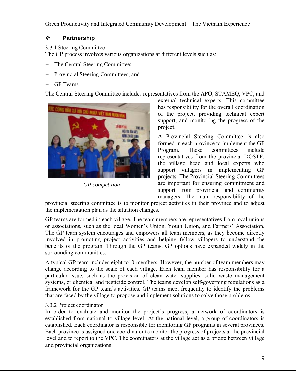## **Partnership**

#### 3.3.1 Steering Committee

The GP process involves various organizations at different levels such as:

- − The Central Steering Committee;
- − Provincial Steering Committees; and
- GP Teams.

The Central Steering Committee includes representatives from the APO, STAMEQ, VPC, and



*GP competition* 

external technical experts. This committee has responsibility for the overall coordination of the project, providing technical expert support, and monitoring the progress of the project.

A Provincial Steering Committee is also formed in each province to implement the GP Program. These committees include representatives from the provincial DOSTE, the village head and local experts who support villagers in implementing GP projects. The Provincial Steering Committees are important for ensuring commitment and support from provincial and community managers. The main responsibility of the

provincial steering committee is to monitor project activities in their province and to adjust the implementation plan as the situation changes.

GP teams are formed in each village. The team members are representatives from local unions or associations, such as the local Women's Union, Youth Union, and Farmers' Association. The GP team system encourages and empowers all team members, as they become directly involved in promoting project activities and helping fellow villagers to understand the benefits of the program. Through the GP teams, GP options have expanded widely in the surrounding communities.

A typical GP team includes eight to10 members. However, the number of team members may change according to the scale of each village. Each team member has responsibility for a particular issue, such as the provision of clean water supplies, solid waste management systems, or chemical and pesticide control. The teams develop self-governing regulations as a framework for the GP team's activities. GP teams meet frequently to identify the problems that are faced by the village to propose and implement solutions to solve those problems.

## 3.3.2 Project coordinator

In order to evaluate and monitor the project's progress, a network of coordinators is established from national to village level. At the national level, a group of coordinators is established. Each coordinator is responsible for monitoring GP programs in several provinces. Each province is assigned one coordinator to monitor the progress of projects at the provincial level and to report to the VPC. The coordinators at the village act as a bridge between village and provincial organizations.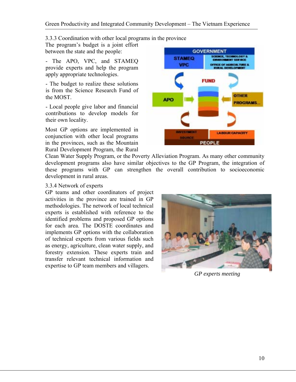3.3.3 Coordination with other local programs in the province

The program's budget is a joint effort between the state and the people:

- The APO, VPC, and STAMEQ provide experts and help the program apply appropriate technologies.

- The budget to realize these solutions is from the Science Research Fund of the MOST.

- Local people give labor and financial contributions to develop models for their own locality.

Most GP options are implemented in conjunction with other local programs in the provinces, such as the Mountain Rural Development Program, the Rural



Clean Water Supply Program, or the Poverty Alleviation Program. As many other community development programs also have similar objectives to the GP Program, the integration of these programs with GP can strengthen the overall contribution to socioeconomic development in rural areas.

#### 3.3.4 Network of experts

GP teams and other coordinators of project activities in the province are trained in GP methodologies. The network of local technical experts is established with reference to the identified problems and proposed GP options for each area. The DOSTE coordinates and implements GP options with the collaboration of technical experts from various fields such as energy, agriculture, clean water supply, and forestry extension. These experts train and transfer relevant technical information and expertise to GP team members and villagers.



*GP experts meeting*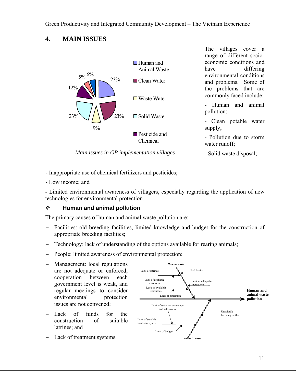

The villages cover a range of different socioeconomic conditions and have differing environmental conditions and problems. Some of the problems that are commonly faced include:

- Human and animal pollution;

- Clean potable water supply;

- Pollution due to storm water runoff;

- Solid waste disposal;

*Main issues in GP implementation villages*

- Inappropriate use of chemical fertilizers and pesticides;

- Low income; and

- Limited environmental awareness of villagers, especially regarding the application of new technologies for environmental protection.

# **Human and animal pollution**

The primary causes of human and animal waste pollution are:

- − Facilities: old breeding facilities, limited knowledge and budget for the construction of appropriate breeding facilities;
- Technology: lack of understanding of the options available for rearing animals;
- People: limited awareness of environmental protection;
- − Management: local regulations are not adequate or enforced, cooperation between each government level is weak, and regular meetings to consider environmental protection issues are not convened;
- − Lack of funds for the construction of suitable latrines; and
- − Lack of treatment systems.

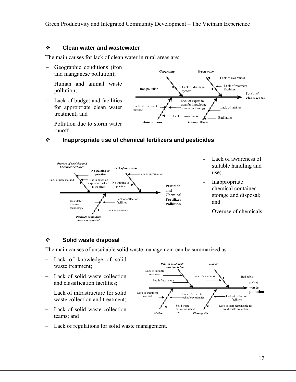#### **Clean water and wastewater**

The main causes for lack of clean water in rural areas are:

- − Geographic conditions (iron and manganese pollution);
- − Human and animal waste pollution;
- − Lack of budget and facilities for appropriate clean water treatment; and
- − Pollution due to storm water runoff.



#### **Inappropriate use of chemical fertilizers and pesticides**



#### **Solid waste disposal**

The main causes of unsuitable solid waste management can be summarized as:

- − Lack of knowledge of solid waste treatment;
- − Lack of solid waste collection and classification facilities;
- − Lack of infrastructure for solid waste collection and treatment:
- − Lack of solid waste collection teams; and



− Lack of regulations for solid waste management.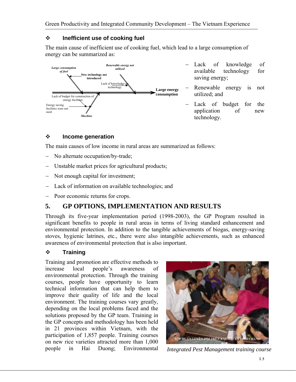## **Inefficient use of cooking fuel**

The main cause of inefficient use of cooking fuel, which lead to a large consumption of energy can be summarized as:



- − Lack of knowledge of available technology for saving energy;
- Renewable energy is not utilized; and
- − Lack of budget for the application of new technology.

# **Income generation**

The main causes of low income in rural areas are summarized as follows:

- − No alternate occupation/by-trade;
- − Unstable market prices for agricultural products;
- − Not enough capital for investment;
- − Lack of information on available technologies; and
- − Poor economic returns for crops.

# **5. GP OPTIONS, IMPLEMENTATION AND RESULTS**

Through its five-year implementation period (1998-2003), the GP Program resulted in significant benefits to people in rural areas in terms of living standard enhancement and environmental protection. In addition to the tangible achievements of biogas, energy-saving stoves, hygienic latrines, etc., there were also intangible achievements, such as enhanced awareness of environmental protection that is also important.

# **Training**

Training and promotion are effective methods to increase local people's awareness of environmental protection. Through the training courses, people have opportunity to learn technical information that can help them to improve their quality of life and the local environment. The training courses vary greatly, depending on the local problems faced and the solutions proposed by the GP team. Training in the GP concepts and methodology has been held in 21 provinces within Vietnam, with the participation of 1,857 people. Training courses on new rice varieties attracted more than 1,000 people in Hai Duong; Environmental *Integrated Pest Management training course*

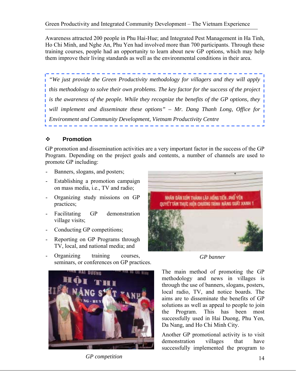Awareness attracted 200 people in Phu Hai-Hue; and Integrated Pest Management in Ha Tinh, Ho Chi Minh, and Nghe An, Phu Yen had involved more than 700 participants. Through these training courses, people had an opportunity to learn about new GP options, which may help them improve their living standards as well as the environmental conditions in their area.

*"We just provide the Green Productivity methodology for villagers and they will apply this methodology to solve their own problems. The key factor for the success of the project is the awareness of the people. While they recognize the benefits of the GP options, they will implement and disseminate these options" – Mr. Dang Thanh Long, Office for Environment and Community Development, Vietnam Productivity Centre* 

#### **Promotion**

GP promotion and dissemination activities are a very important factor in the success of the GP Program. Depending on the project goals and contents, a number of channels are used to promote GP including:

- Banners, slogans, and posters;
- Establishing a promotion campaign on mass media, i.e., TV and radio;
- Organizing study missions on GP practices;
- Facilitating GP demonstration village visits;
- Conducting GP competitions;
- Reporting on GP Programs through TV, local, and national media; and
- Organizing training courses, seminars, or conferences on GP practices.



*GP competition* 14



*GP banner*

The main method of promoting the GP methodology and news in villages is through the use of banners, slogans, posters, local radio, TV, and notice boards. The aims are to disseminate the benefits of GP solutions as well as appeal to people to join the Program. This has been most successfully used in Hai Duong, Phu Yen, Da Nang, and Ho Chi Minh City.

Another GP promotional activity is to visit demonstration villages that have successfully implemented the program to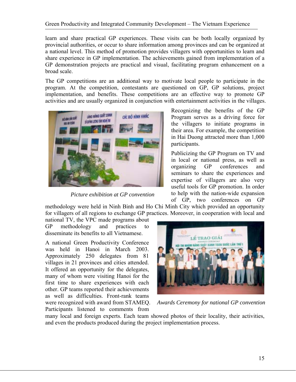Green Productivity and Integrated Community Development – The Vietnam Experience

learn and share practical GP experiences. These visits can be both locally organized by provincial authorities, or occur to share information among provinces and can be organized at a national level. This method of promotion provides villagers with opportunities to learn and share experience in GP implementation. The achievements gained from implementation of a GP demonstration projects are practical and visual, facilitating program enhancement on a broad scale.

The GP competitions are an additional way to motivate local people to participate in the program. At the competition, contestants are questioned on GP, GP solutions, project implementation, and benefits. These competitions are an effective way to promote GP activities and are usually organized in conjunction with entertainment activities in the villages.



*Picture exhibition at GP convention* 

Recognizing the benefits of the GP Program serves as a driving force for the villagers to initiate programs in their area. For example, the competition in Hai Duong attracted more than 1,000 participants.

Publicizing the GP Program on TV and in local or national press, as well as organizing GP conferences and seminars to share the experiences and expertise of villagers are also very useful tools for GP promotion. In order to help with the nation-wide expansion of GP, two conferences on GP

methodology were held in Ninh Binh and Ho Chi Minh City which provided an opportunity for villagers of all regions to exchange GP practices. Moreover, in cooperation with local and

national TV, the VPC made programs about GP methodology and practices to disseminate its benefits to all Vietnamese.

A national Green Productivity Conference was held in Hanoi in March 2003. Approximately 250 delegates from 81 villages in 21 provinces and cities attended. It offered an opportunity for the delegates, many of whom were visiting Hanoi for the first time to share experiences with each other. GP teams reported their achievements as well as difficulties. Front-rank teams were recognized with award from STAMEQ. Participants listened to comments from



*Awards Ceremony for national GP convention*

many local and foreign experts. Each team showed photos of their locality, their activities, and even the products produced during the project implementation process.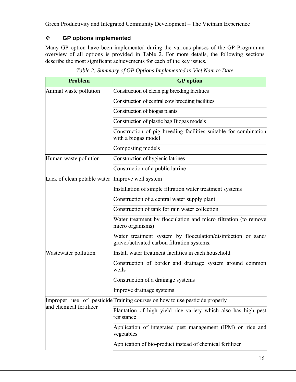#### **GP options implemented**

Many GP option have been implemented during the various phases of the GP Program-an overview of all options is provided in Table 2. For more details, the following sections describe the most significant achievements for each of the key issues.

| <b>Problem</b>              | <b>GP</b> option                                                                                            |
|-----------------------------|-------------------------------------------------------------------------------------------------------------|
| Animal waste pollution      | Construction of clean pig breeding facilities                                                               |
|                             | Construction of central cow breeding facilities                                                             |
|                             | Construction of biogas plants                                                                               |
|                             | Construction of plastic bag Biogas models                                                                   |
|                             | Construction of pig breeding facilities suitable for combination<br>with a biogas model                     |
|                             | Composting models                                                                                           |
| Human waste pollution       | Construction of hygienic latrines                                                                           |
|                             | Construction of a public latrine                                                                            |
| Lack of clean potable water | Improve well system                                                                                         |
|                             | Installation of simple filtration water treatment systems                                                   |
|                             | Construction of a central water supply plant                                                                |
|                             | Construction of tank for rain water collection                                                              |
|                             | Water treatment by flocculation and micro filtration (to remove<br>micro organisms)                         |
|                             | Water treatment system by flocculation/disinfection or sand/<br>gravel/activated carbon filtration systems. |
| Wastewater pollution        | Install water treatment facilities in each household                                                        |
|                             | Construction of border and drainage system around common<br>wells                                           |
|                             | Construction of a drainage systems                                                                          |
|                             | Improve drainage systems                                                                                    |
|                             | Improper use of pesticide Training courses on how to use pesticide properly                                 |
| and chemical fertilizer     | Plantation of high yield rice variety which also has high pest<br>resistance                                |
|                             | Application of integrated pest management (IPM) on rice and<br>vegetables                                   |
|                             | Application of bio-product instead of chemical fertilizer                                                   |

*Table 2: Summary of GP Options Implemented in Viet Nam to Date*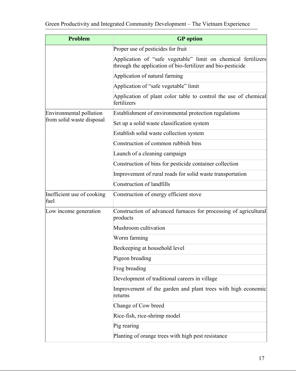| <b>Problem</b>                     | <b>GP</b> option                                                                                                             |
|------------------------------------|------------------------------------------------------------------------------------------------------------------------------|
|                                    | Proper use of pesticides for fruit                                                                                           |
|                                    | Application of "safe vegetable" limit on chemical fertilizers<br>through the application of bio-fertilizer and bio-pesticide |
|                                    | Application of natural farming                                                                                               |
|                                    | Application of "safe vegetable" limit                                                                                        |
|                                    | Application of plant color table to control the use of chemical<br>fertilizers                                               |
| Environmental pollution            | Establishment of environmental protection regulations                                                                        |
| from solid waste disposal          | Set up a solid waste classification system                                                                                   |
|                                    | Establish solid waste collection system                                                                                      |
|                                    | Construction of common rubbish bins                                                                                          |
|                                    | Launch of a cleaning campaign                                                                                                |
|                                    | Construction of bins for pesticide container collection                                                                      |
|                                    | Improvement of rural roads for solid waste transportation                                                                    |
|                                    | Construction of landfills                                                                                                    |
| Inefficient use of cooking<br>fuel | Construction of energy efficient stove                                                                                       |
| Low income generation              | Construction of advanced furnaces for processing of agricultural<br>products                                                 |
|                                    | Mushroom cultivation                                                                                                         |
|                                    | Worm farming                                                                                                                 |
|                                    | Beekeeping at household level                                                                                                |
|                                    | Pigeon breading                                                                                                              |
|                                    | Frog breading                                                                                                                |
|                                    | Development of traditional careers in village                                                                                |
|                                    | Improvement of the garden and plant trees with high economic<br>returns                                                      |
|                                    | Change of Cow breed                                                                                                          |
|                                    | Rice-fish, rice-shrimp model                                                                                                 |
|                                    | Pig rearing                                                                                                                  |
|                                    | Planting of orange trees with high pest resistance                                                                           |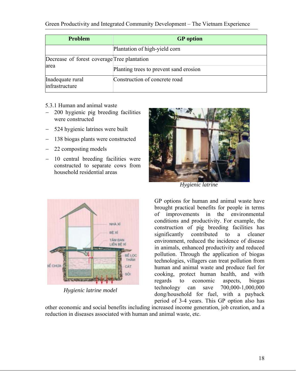| <b>Problem</b>                              | <b>GP</b> option                       |
|---------------------------------------------|----------------------------------------|
|                                             | Plantation of high-yield corn          |
| Decrease of forest coverage Tree plantation |                                        |
| area                                        | Planting trees to prevent sand erosion |
| Inadequate rural<br>infrastructure          | Construction of concrete road          |

- 5.3.1 Human and animal waste
- − 200 hygienic pig breeding facilities were constructed
- − 524 hygienic latrines were built
- 138 biogas plants were constructed
- − 22 composting models
- − 10 central breeding facilities were constructed to separate cows from household residential areas



*Hygienic latrine* 



*Hygienic latrine model* 

GP options for human and animal waste have brought practical benefits for people in terms of improvements in the environmental conditions and productivity. For example, the construction of pig breeding facilities has significantly contributed to a cleaner environment, reduced the incidence of disease in animals, enhanced productivity and reduced pollution. Through the application of biogas technologies, villagers can treat pollution from human and animal waste and produce fuel for cooking, protect human health, and with regards to economic aspects, biogas technology can save 700,000-1,000,000 dong/household for fuel, with a payback period of 3-4 years. This GP option also has

other economic and social benefits including increased income generation, job creation, and a reduction in diseases associated with human and animal waste, etc.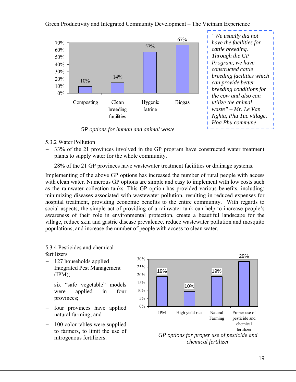

*GP options for human and animal waste* 

- 5.3.2 Water Pollution
- − 33% of the 21 provinces involved in the GP program have constructed water treatment plants to supply water for the whole community.
- − 28% of the 21 GP provinces have wastewater treatment facilities or drainage systems.

Implementing of the above GP options has increased the number of rural people with access with clean water. Numerous GP options are simple and easy to implement with low costs such as the rainwater collection tanks. This GP option has provided various benefits, including: minimizing diseases associated with wastewater pollution, resulting in reduced expenses for hospital treatment, providing economic benefits to the entire community. With regards to social aspects, the simple act of providing of a rainwater tank can help to increase people's awareness of their role in environmental protection, create a beautiful landscape for the village, reduce skin and gastric disease prevalence, reduce wastewater pollution and mosquito populations, and increase the number of people with access to clean water.

#### 5.3.4 Pesticides and chemical fertilizers

- − 127 households applied Integrated Pest Management (IPM);
- six "safe vegetable" models were applied in four provinces;
- − four provinces have applied natural farming; and
- − 100 color tables were supplied to farmers, to limit the use of nitrogenous fertilizers.

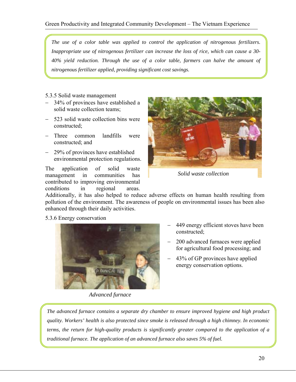*The use of a color table was applied to control the application of nitrogenous fertilizers. Inappropriate use of nitrogenous fertilizer can increase the loss of rice, which can cause a 30- 40% yield reduction. Through the use of a color table, farmers can halve the amount of nitrogenous fertilizer applied, providing significant cost savings.* 

#### 5.3.5 Solid waste management

- 34% of provinces have established a solid waste collection teams;
- − 523 solid waste collection bins were constructed;
- − Three common landfills were constructed; and
- − 29% of provinces have established environmental protection regulations.

The application of solid waste management in communities has contributed to improving environmental conditions in regional areas.



*Solid waste collection* 

Additionally, it has also helped to reduce adverse effects on human health resulting from pollution of the environment. The awareness of people on environmental issues has been also enhanced through their daily activities.

#### 5.3.6 Energy conservation



449 energy efficient stoves have been constructed;

- − 200 advanced furnaces were applied for agricultural food processing; and
- − 43% of GP provinces have applied energy conservation options.

*Advanced furnace*

*The advanced furnace contains a separate dry chamber to ensure improved hygiene and high product quality. Workers' health is also protected since smoke is released through a high chimney. In economic terms, the return for high-quality products is significantly greater compared to the application of a traditional furnace. The application of an advanced furnace also saves 5% of fuel.*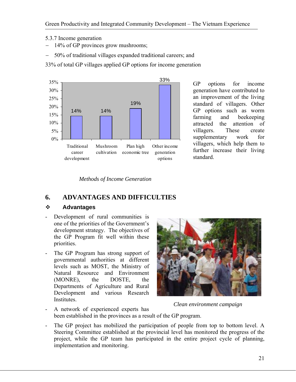5.3.7 Income generation

- 14% of GP provinces grow mushrooms;
- − 50% of traditional villages expanded traditional careers; and

33% of total GP villages applied GP options for income generation



GP options for income generation have contributed to an improvement of the living standard of villagers. Other GP options such as worm farming and beekeeping attracted the attention of villagers. These create supplementary work for villagers, which help them to further increase their living standard.

*Methods of Income Generation* 

# **6. ADVANTAGES AND DIFFICULTIES**

## **Advantages**

- Development of rural communities is one of the priorities of the Government's development strategy. The objectives of the GP Program fit well within these priorities.
- The GP Program has strong support of governmental authorities at different levels such as MOST, the Ministry of Natural Resource and Environment (MONRE), the DOSTE, the Departments of Agriculture and Rural Development and various Research Institutes.



*Clean environment campaign*

- A network of experienced experts has been established in the provinces as a result of the GP program.
- The GP project has mobilized the participation of people from top to bottom level. A Steering Committee established at the provincial level has monitored the progress of the project, while the GP team has participated in the entire project cycle of planning, implementation and monitoring.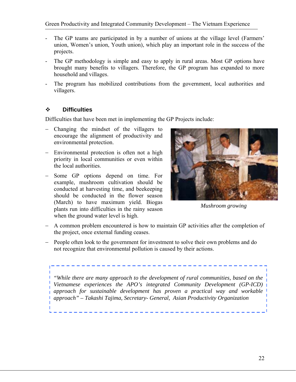- The GP teams are participated in by a number of unions at the village level (Farmers' union, Women's union, Youth union), which play an important role in the success of the projects.
- The GP methodology is simple and easy to apply in rural areas. Most GP options have brought many benefits to villagers. Therefore, the GP program has expanded to more household and villages.
- The program has mobilized contributions from the government, local authorities and villagers.

## **Difficulties**

Difficulties that have been met in implementing the GP Projects include:

- − Changing the mindset of the villagers to encourage the alignment of productivity and environmental protection.
- Environmental protection is often not a high priority in local communities or even within the local authorities.
- − Some GP options depend on time. For example, mushroom cultivation should be conducted at harvesting time, and beekeeping should be conducted in the flower season (March) to have maximum yield. Biogas plants run into difficulties in the rainy season when the ground water level is high.



*Mushroom growing* 

- − A common problem encountered is how to maintain GP activities after the completion of the project, once external funding ceases.
- − People often look to the government for investment to solve their own problems and do not recognize that environmental pollution is caused by their actions.

*"While there are many approach to the development of rural communities, based on the Vietnamese experiences the APO's integrated Community Development (GP-ICD) approach for sustainable development has proven a practical way and workable approach" – Takashi Tajima, Secretary- General, Asian Productivity Organization*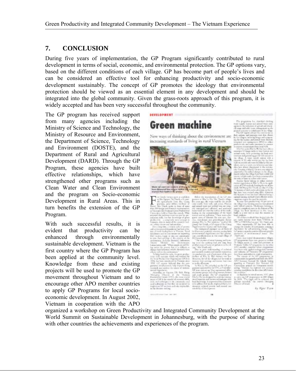# **7. CONCLUSION**

During five years of implementation, the GP Program significantly contributed to rural development in terms of social, economic, and environmental protection. The GP options vary, based on the different conditions of each village. GP has become part of people's lives and can be considered an effective tool for enhancing productivity and socio-economic development sustainably. The concept of GP promotes the ideology that environmental protection should be viewed as an essential element in any development and should be integrated into the global community. Given the grass-roots approach of this program, it is widely accepted and has been very successful throughout the community.

The GP program has received support from many agencies including the Ministry of Science and Technology, the Ministry of Resource and Environment, the Department of Science, Technology and Environment (DOSTE), and the Department of Rural and Agricultural Development (DARD). Through the GP Program, these agencies have built effective relationships, which have strengthened other programs such as Clean Water and Clean Environment and the program on Socio-economic Development in Rural Areas. This in turn benefits the extension of the GP Program.

With such successful results, it is evident that productivity can be enhanced through environmentally sustainable development. Vietnam is the first country where the GP Program has been applied at the community level. Knowledge from these and existing projects will be used to promote the GP movement throughout Vietnam and to encourage other APO member countries to apply GP Programs for local socioeconomic development. In August 2002, Vietnam in cooperation with the APO



New ways of thinking about the environment are increasing standards of living in rural Vietnam



t á

organized a workshop on Green Productivity and Integrated Community Development at the World Summit on Sustainable Development in Johannesburg, with the purpose of sharing with other countries the achievements and experiences of the program.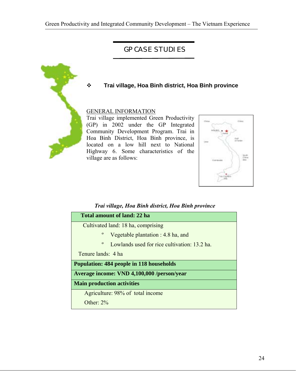# **GP CASE STUDIES**



#### **Trai village, Hoa Binh district, Hoa Binh province**

#### GENERAL INFORMATION

Trai village implemented Green Productivity (GP) in 2002 under the GP Integrated Community Development Program. Trai in Hoa Binh District, Hoa Binh province, is located on a low hill next to National Highway 6. Some characteristics of the village are as follows:



#### *Trai village, Hoa Binh district, Hoa Binh province*

| Total amount of land: 22 ha                                  |
|--------------------------------------------------------------|
| Cultivated land: 18 ha, comprising                           |
| $\mathbf{o}$<br>Vegetable plantation : $4.8$ ha, and         |
| $\mathbf{o}$<br>Lowlands used for rice cultivation: 13.2 ha. |
| Tenure lands: 4 ha                                           |
| <b>Population: 484 people in 118 households</b>              |
| Average income: VND 4,100,000 /person/year                   |
| <b>Main production activities</b>                            |
| Agriculture: 98% of total income                             |
| Other: $2\%$                                                 |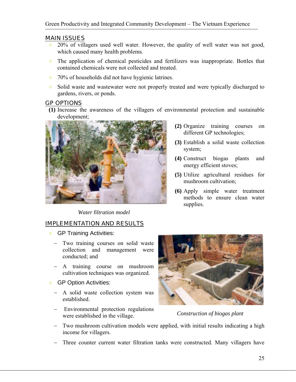- 20% of villagers used well water. However, the quality of well water was not good, which caused many health problems.
- The application of chemical pesticides and fertilizers was inappropriate. Bottles that contained chemicals were not collected and treated.
- 70% of households did not have hygienic latrines.
- Solid waste and wastewater were not properly treated and were typically discharged to gardens, rivers, or ponds.

#### GP OPTIONS

**(1)** Increase the awareness of the villagers of environmental protection and sustainable development;



*Water filtration model*

## IMPLEMENTATION AND RESULTS

- GP Training Activities:
	- − Two training courses on solid waste collection and management were conducted; and
	- − A training course on mushroom cultivation techniques was organized.
- GP Option Activities:
	- − A solid waste collection system was established.
	- − Environmental protection regulations were established in the village.



*Construction of biogas plant* 

- − Two mushroom cultivation models were applied, with initial results indicating a high income for villagers.
- Three counter current water filtration tanks were constructed. Many villagers have
- **(2)** Organize training courses on different GP technologies;
- **(3)** Establish a solid waste collection system;
- **(4)** Construct biogas plants and energy efficient stoves;
- **(5)** Utilize agricultural residues for mushroom cultivation;
- **(6)** Apply simple water treatment methods to ensure clean water supplies.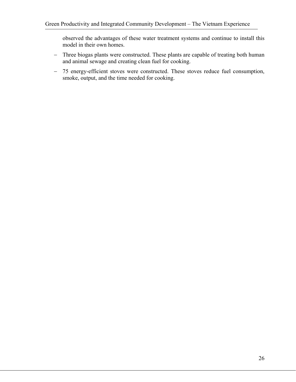observed the advantages of these water treatment systems and continue to install this model in their own homes.

- − Three biogas plants were constructed. These plants are capable of treating both human and animal sewage and creating clean fuel for cooking.
- − 75 energy-efficient stoves were constructed. These stoves reduce fuel consumption, smoke, output, and the time needed for cooking.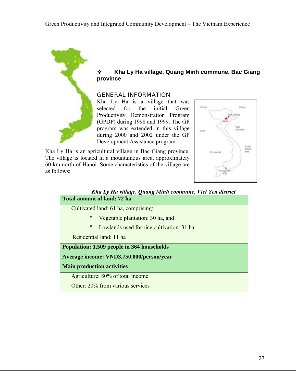

 **Kha Ly Ha village, Quang Minh commune, Bac Giang province**

#### GENERAL INFORMATION

Kha Ly Ha is a village that was selected for the initial Green Productivity Demonstration Program (GPDP) during 1998 and 1999. The GP program was extended in this village during 2000 and 2002 under the GP Development Assistance program.

Kha Ly Ha is an agricultural village in Bac Giang province. The village is located in a mountainous area, approximately 60 km north of Hanoi. Some characteristics of the village are as follows:



# *Kha Ly Ha village, Quang Minh commune, Viet Yen district*  **Total amount of land: 72 ha**  Cultivated land: 61 ha, comprising: º Vegetable plantation: 30 ha, and º Lowlands used for rice cultivation: 31 ha Residential land: 11 ha **Population: 1,509 people in 364 households Average income: VND3,750,000/person/year Main production activities**  Agriculture: 80% of total income Other: 20% from various services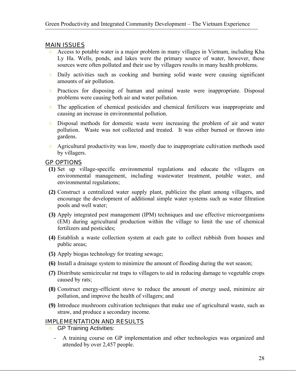- Access to potable water is a major problem in many villages in Vietnam, including Kha Ly Ha. Wells, ponds, and lakes were the primary source of water, however, these sources were often polluted and their use by villagers results in many health problems.
- Daily activities such as cooking and burning solid waste were causing significant amounts of air pollution.
- Practices for disposing of human and animal waste were inappropriate. Disposal problems were causing both air and water pollution.
- The application of chemical pesticides and chemical fertilizers was inappropriate and causing an increase in environmental pollution.
- Disposal methods for domestic waste were increasing the problem of air and water pollution. Waste was not collected and treated. It was either burned or thrown into gardens.
- Agricultural productivity was low, mostly due to inappropriate cultivation methods used by villagers.

#### GP OPTIONS

- **(1)** Set up village-specific environmental regulations and educate the villagers on environmental management, including wastewater treatment, potable water, and environmental regulations;
- **(2)** Construct a centralized water supply plant, publicize the plant among villagers, and encourage the development of additional simple water systems such as water filtration pools and well water;
- **(3)** Apply integrated pest management (IPM) techniques and use effective microorganisms (EM) during agricultural production within the village to limit the use of chemical fertilizers and pesticides;
- **(4)** Establish a waste collection system at each gate to collect rubbish from houses and public areas;
- **(5)** Apply biogas technology for treating sewage;
- **(6)** Install a drainage system to minimize the amount of flooding during the wet season;
- **(7)** Distribute semicircular rat traps to villagers to aid in reducing damage to vegetable crops caused by rats;
- **(8)** Construct energy-efficient stove to reduce the amount of energy used, minimize air pollution, and improve the health of villagers; and
- **(9)** Introduce mushroom cultivation techniques that make use of agricultural waste, such as straw, and produce a secondary income.

#### IMPLEMENTATION AND RESULTS

- **O** GP Training Activities:
	- A training course on GP implementation and other technologies was organized and attended by over 2,457 people.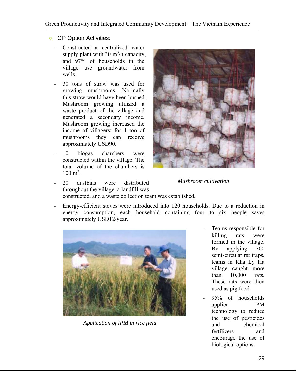#### **O** GP Option Activities:

- Constructed a centralized water supply plant with 30  $m^3/h$  capacity, and 97% of households in the village use groundwater from wells.
- 30 tons of straw was used for growing mushrooms. Normally this straw would have been burned. Mushroom growing utilized a waste product of the village and generated a secondary income. Mushroom growing increased the income of villagers; for 1 ton of mushrooms they can receive approximately USD90.
- 10 biogas chambers were constructed within the village. The total volume of the chambers is  $100 \text{ m}^3$ .



- *Mushroom cultivation*
- 20 dustbins were distributed throughout the village, a landfill was constructed, and a waste collection team was established.
- Energy-efficient stoves were introduced into 120 households. Due to a reduction in energy consumption, each household containing four to six people saves approximately USD12/year.



*Application of IPM in rice field* 

- Teams responsible for killing rats were formed in the village. By applying 700 semi-circular rat traps, teams in Kha Ly Ha village caught more than 10,000 rats. These rats were then used as pig food.
- 95% of households applied IPM technology to reduce the use of pesticides and chemical fertilizers and encourage the use of biological options.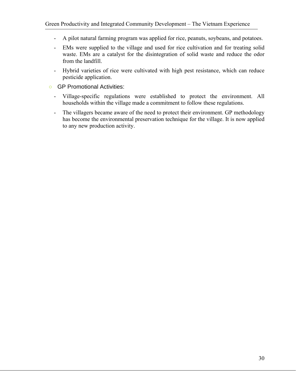- A pilot natural farming program was applied for rice, peanuts, soybeans, and potatoes.
- EMs were supplied to the village and used for rice cultivation and for treating solid waste. EMs are a catalyst for the disintegration of solid waste and reduce the odor from the landfill.
- Hybrid varieties of rice were cultivated with high pest resistance, which can reduce pesticide application.
- GP Promotional Activities:
	- Village-specific regulations were established to protect the environment. All households within the village made a commitment to follow these regulations.
	- The villagers became aware of the need to protect their environment. GP methodology has become the environmental preservation technique for the village. It is now applied to any new production activity.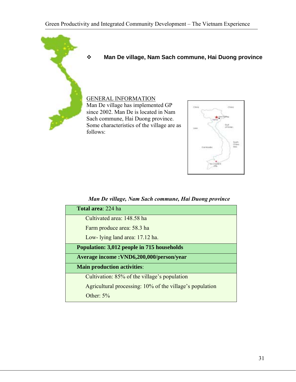

### **Man De village, Nam Sach commune, Hai Duong province**

# GENERAL INFORMATION

Man De village has implemented GP since 2002. Man De is located in Nam Sach commune, Hai Duong province. Some characteristics of the village are as follows:



#### *Man De village, Nam Sach commune, Hai Duong province*

| <b>Total area: 224 ha</b>                                |
|----------------------------------------------------------|
| Cultivated area: 148.58 ha                               |
| Farm produce area: 58.3 ha                               |
| Low- lying land area: 17.12 ha.                          |
| <b>Population: 3,012 people in 715 households</b>        |
| Average income: VND6,200,000/person/year                 |
| <b>Main production activities:</b>                       |
| Cultivation: 85% of the village's population             |
| Agricultural processing: 10% of the village's population |
| Other: $5%$                                              |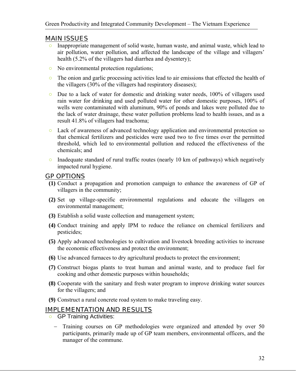- Inappropriate management of solid waste, human waste, and animal waste, which lead to air pollution, water pollution, and affected the landscape of the village and villagers' health (5.2% of the villagers had diarrhea and dysentery);
- No environmental protection regulations;
- The onion and garlic processing activities lead to air emissions that effected the health of the villagers (30% of the villagers had respiratory diseases);
- Due to a lack of water for domestic and drinking water needs, 100% of villagers used rain water for drinking and used polluted water for other domestic purposes, 100% of wells were contaminated with aluminum, 90% of ponds and lakes were polluted due to the lack of water drainage, these water pollution problems lead to health issues, and as a result 41.8% of villagers had trachoma;
- Lack of awareness of advanced technology application and environmental protection so that chemical fertilizers and pesticides were used two to five times over the permitted threshold, which led to environmental pollution and reduced the effectiveness of the chemicals; and
- $\circ$  Inadequate standard of rural traffic routes (nearly 10 km of pathways) which negatively impacted rural hygiene.

## GP OPTIONS

- **(1)** Conduct a propagation and promotion campaign to enhance the awareness of GP of villagers in the community;
- **(2)** Set up village-specific environmental regulations and educate the villagers on environmental management;
- **(3)** Establish a solid waste collection and management system;
- **(4)** Conduct training and apply IPM to reduce the reliance on chemical fertilizers and pesticides;
- **(5)** Apply advanced technologies to cultivation and livestock breeding activities to increase the economic effectiveness and protect the environment;
- **(6)** Use advanced furnaces to dry agricultural products to protect the environment;
- **(7)** Construct biogas plants to treat human and animal waste, and to produce fuel for cooking and other domestic purposes within households;
- **(8)** Cooperate with the sanitary and fresh water program to improve drinking water sources for the villagers; and
- **(9)** Construct a rural concrete road system to make traveling easy.

#### IMPLEMENTATION AND RESULTS

- **O** GP Training Activities:
	- Training courses on GP methodologies were organized and attended by over 50 participants, primarily made up of GP team members, environmental officers, and the manager of the commune.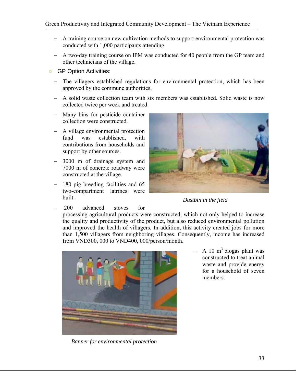- − A training course on new cultivation methods to support environmental protection was conducted with 1,000 participants attending.
- − A two-day training course on IPM was conducted for 40 people from the GP team and other technicians of the village.
- GP Option Activities:
	- The villagers established regulations for environmental protection, which has been approved by the commune authorities.
	- − A solid waste collection team with six members was established. Solid waste is now collected twice per week and treated.
	- − Many bins for pesticide container collection were constructed.
	- − A village environmental protection fund was established, with contributions from households and support by other sources.
	- 3000 m of drainage system and 7000 m of concrete roadway were constructed at the village.
	- − 180 pig breeding facilities and 65 two-compartment latrines were built.



*Dustbin in the field* 

− 200 advanced stoves for

processing agricultural products were constructed, which not only helped to increase the quality and productivity of the product, but also reduced environmental pollution and improved the health of villagers. In addition, this activity created jobs for more than 1,500 villagers from neighboring villages. Consequently, income has increased from VND300, 000 to VND400, 000/person/month.



*Banner for environmental protection* 

 $-$  A 10 m<sup>3</sup> biogas plant was constructed to treat animal waste and provide energy for a household of seven members.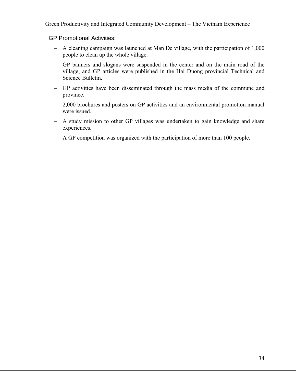GP Promotional Activities:

- − A cleaning campaign was launched at Man De village, with the participation of 1,000 people to clean up the whole village.
- − GP banners and slogans were suspended in the center and on the main road of the village, and GP articles were published in the Hai Duong provincial Technical and Science Bulletin.
- − GP activities have been disseminated through the mass media of the commune and province.
- − 2,000 brochures and posters on GP activities and an environmental promotion manual were issued.
- − A study mission to other GP villages was undertaken to gain knowledge and share experiences.
- − A GP competition was organized with the participation of more than 100 people.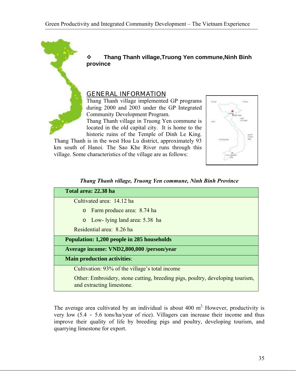

 **Thang Thanh village,Truong Yen commune,Ninh Binh province** 

#### GENERAL INFORMATION

Thang Thanh village implemented GP programs during 2000 and 2003 under the GP Integrated Community Development Program.

Thang Thanh village in Truong Yen commune is located in the old capital city. It is home to the historic ruins of the Temple of Dinh Le King.

Thang Thanh is in the west Hoa Lu district, approximately 93 km south of Hanoi. The Sao Khe River runs through this village. Some characteristics of the village are as follows:



|  |  |  | Thang Thanh village, Truong Yen commune, Ninh Binh Province |  |  |  |
|--|--|--|-------------------------------------------------------------|--|--|--|
|--|--|--|-------------------------------------------------------------|--|--|--|

| Total area: 22.38 ha                                                                                       |  |  |  |
|------------------------------------------------------------------------------------------------------------|--|--|--|
| Cultivated area: 14.12 ha                                                                                  |  |  |  |
| Farm produce area: 8.74 ha<br>$\circ$                                                                      |  |  |  |
| o Low- lying land area: 5.38 ha                                                                            |  |  |  |
| Residential area: 8.26 ha                                                                                  |  |  |  |
| Population: 1,200 people in 285 households                                                                 |  |  |  |
| Average income: VND2,800,000 /person/year                                                                  |  |  |  |
| <b>Main production activities:</b>                                                                         |  |  |  |
| Cultivation: 93% of the village's total income                                                             |  |  |  |
| Other: Embroidery, stone cutting, breeding pigs, poultry, developing tourism,<br>and extracting limestone. |  |  |  |

The average area cultivated by an individual is about  $400 \text{ m}^2$ . However, productivity is very low (5.4 - 5.6 tons/ha/year of rice). Villagers can increase their income and thus improve their quality of life by breeding pigs and poultry, developing tourism, and quarrying limestone for export.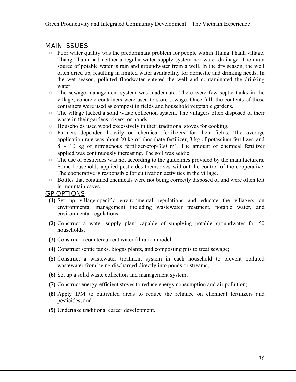- Poor water quality was the predominant problem for people within Thang Thanh village. Thang Thanh had neither a regular water supply system nor water drainage. The main source of potable water is rain and groundwater from a well. In the dry season, the well often dried up, resulting in limited water availability for domestic and drinking needs. In the wet season, polluted floodwater entered the well and contaminated the drinking water.
- The sewage management system was inadequate. There were few septic tanks in the village; concrete containers were used to store sewage. Once full, the contents of these containers were used as compost in fields and household vegetable gardens.
- The village lacked a solid waste collection system. The villagers often disposed of their waste in their gardens, rivers, or ponds.
- Households used wood excessively in their traditional stoves for cooking.
- Farmers depended heavily on chemical fertilizers for their fields. The average application rate was about 20 kg of phosphate fertilizer, 3 kg of potassium fertilizer, and  $8 - 10$  kg of nitrogenous fertilizer/crop/360 m<sup>2</sup>. The amount of chemical fertilizer applied was continuously increasing. The soil was acidic.
- The use of pesticides was not according to the guidelines provided by the manufacturers. Some households applied pesticides themselves without the control of the cooperative. The cooperative is responsible for cultivation activities in the village.
- Bottles that contained chemicals were not being correctly disposed of and were often left in mountain caves.

#### GP OPTIONS

- **(1)** Set up village-specific environmental regulations and educate the villagers on environmental management including wastewater treatment, potable water, and environmental regulations;
- **(2)** Construct a water supply plant capable of supplying potable groundwater for 50 households;
- **(3)** Construct a countercurrent water filtration model;
- **(4)** Construct septic tanks, biogas plants, and composting pits to treat sewage;
- **(5)** Construct a wastewater treatment system in each household to prevent polluted wastewater from being discharged directly into ponds or streams;
- **(6)** Set up a solid waste collection and management system;
- **(7)** Construct energy-efficient stoves to reduce energy consumption and air pollution;
- **(8)** Apply IPM to cultivated areas to reduce the reliance on chemical fertilizers and pesticides; and
- **(9)** Undertake traditional career development.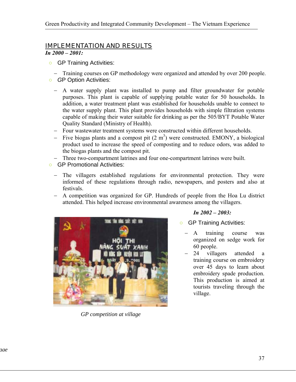# IMPLEMENTATION AND RESULTS

*In 2000 – 2001:* 

○ GP Training Activities:

− Training courses on GP methodology were organized and attended by over 200 people. *GP Option Activities:* 

- − A water supply plant was installed to pump and filter groundwater for potable purposes. This plant is capable of supplying potable water for 50 households. In addition, a water treatment plant was established for households unable to connect to the water supply plant. This plant provides households with simple filtration systems capable of making their water suitable for drinking as per the 505/BYT Potable Water Quality Standard (Ministry of Health).
- Four wastewater treatment systems were constructed within different households.
- $-$  Five biogas plants and a compost pit  $(2 \text{ m}^3)$  were constructed. EMONY, a biological product used to increase the speed of composting and to reduce odors, was added to the biogas plants and the compost pit.
- Three two-compartment latrines and four one-compartment latrines were built.
- GP Promotional Activities:
	- The villagers established regulations for environmental protection. They were informed of these regulations through radio, newspapers, and posters and also at festivals.
	- − A competition was organized for GP. Hundreds of people from the Hoa Lu district attended. This helped increase environmental awareness among the villagers.



*GP competition at village* 

#### *In 2002 – 2003:*

○ GP Training Activities:

- − A training course was organized on sedge work for 60 people.
- 24 villagers attended a training course on embroidery over 45 days to learn about embroidery spade production. This production is aimed at tourists traveling through the village.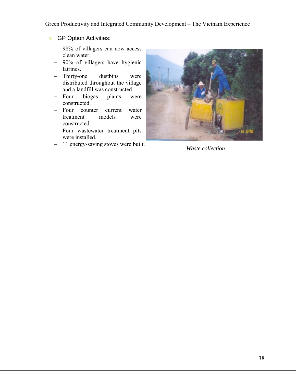#### **O** GP Option Activities:

- − 98% of villagers can now access clean water.
- − 90% of villagers have hygienic latrines.
- − Thirty-one dustbins were distributed throughout the village and a landfill was constructed.
- − Four biogas plants were constructed.
- − Four counter current water treatment models were constructed.
- − Four wastewater treatment pits were installed.
- <sup>−</sup> 11 energy-saving stoves were built. *Waste collection*

![](_page_37_Picture_9.jpeg)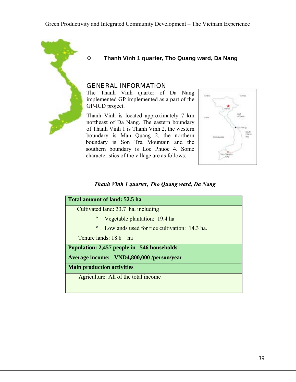![](_page_38_Picture_1.jpeg)

#### **Thanh Vinh 1 quarter, Tho Quang ward, Da Nang**

#### GENERAL INFORMATION

The Thanh Vinh quarter of Da Nang implemented GP implemented as a part of the GP-ICD project.

Thanh Vinh is located approximately 7 km northeast of Da Nang. The eastern boundary of Thanh Vinh 1 is Thanh Vinh 2, the western boundary is Man Quang 2, the northern boundary is Son Tra Mountain and the southern boundary is Loc Phuoc 4. Some characteristics of the village are as follows:

![](_page_38_Picture_6.jpeg)

#### *Thanh Vinh 1 quarter, Tho Quang ward, Da Nang*

| Total amount of land: 52.5 ha                                |
|--------------------------------------------------------------|
| Cultivated land: 33.7 ha, including                          |
| Vegetable plantation: 19.4 ha                                |
| $\mathbf{o}$<br>Lowlands used for rice cultivation: 14.3 ha. |
| Tenure lands: 18.8 ha                                        |
| <b>Population: 2,457 people in 546 households</b>            |
| Average income: VND4,800,000 /person/year                    |
| <b>Main production activities</b>                            |
| Agriculture: All of the total income                         |
|                                                              |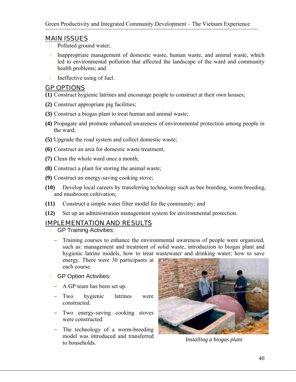- Polluted ground water;
- Inappropriate management of domestic waste, human waste, and animal waste, which led to environmental pollution that affected the landscape of the ward and community health problems; and
- Ineffective using of fuel.

### GP OPTIONS

**(1)** Construct hygienic latrines and encourage people to construct at their own houses;

- **(2)** Construct appropriate pig facilities;
- **(3)** Construct a biogas plant to treat human and animal waste;
- **(4)** Propagate and promote enhanced awareness of environmental protection among people in the ward;
- **(5)** Upgrade the road system and collect domestic waste;
- **(6)** Construct an area for domestic waste treatment;
- **(7)** Clean the whole ward once a month;
- **(8)** Construct a plant for storing the animal waste;
- **(9)** Construct an energy-saving cooking stove;
- **(10)** Develop local careers by transferring technology such as bee breeding, worm breeding, and mushroom cultivation;
- **(11)** Construct a simple water filter model for the community; and
- **(12)** Set up an administration management system for environmental protection.

## IMPLEMENTATION AND RESULTS

- GP Training Activities:
	- − Training courses to enhance the environmental awareness of people were organized, such as: management and treatment of solid waste, introduction to biogas plant and hygienic latrine models, how to treat wastewater and drinking water; how to save energy. There were 30 participants at each course.
- GP Option Activities:
	- − A GP team has been set up.
	- − Two hygienic latrines were constructed.
	- − Two energy-saving cooking stoves were constructed.
	- − The technology of a worm-breeding model was introduced and transferred to households. *Installing a biogas plant*

![](_page_39_Picture_26.jpeg)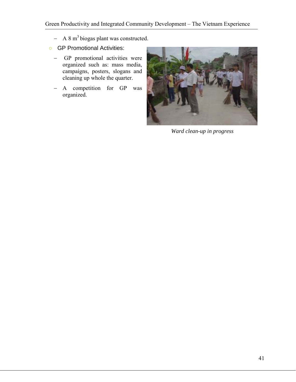- − A 8 m<sup>3</sup> biogas plant was constructed.
- GP Promotional Activities:
	- − GP promotional activities were organized such as: mass media, campaigns, posters, slogans and cleaning up whole the quarter.
	- − A competition for GP was organized.

![](_page_40_Picture_5.jpeg)

*Ward clean-up in progress*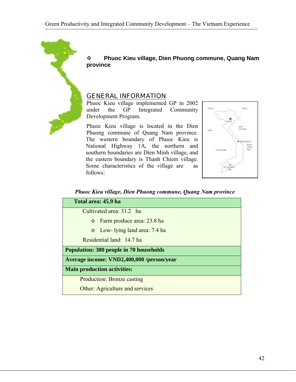![](_page_41_Picture_1.jpeg)

 **Phuoc Kieu village, Dien Phuong commune, Quang Nam province** 

#### GENERAL INFORMATION

Phuoc Kieu village implemented GP in 2002 under the GP Integrated Community Development Program.

Phuoc Kieu village is located in the Dien Phuong commune of Quang Nam province. The western boundary of Phuoc Kieu is National Highway 1A, the northern and southern boundaries are Dien Minh village, and the eastern boundary is Thanh Chiem village. Some characteristics of the village are as follows:

![](_page_41_Figure_6.jpeg)

*Phuoc Kieu village, Dien Phuong commune, Quang Nam province* 

| Total area: 45.9 ha                            |
|------------------------------------------------|
| Cultivated area: 31.2 ha                       |
| Farm produce area: 23.8 ha<br>$\circ$          |
| o Low- lying land area: 7.4 ha                 |
| Residential land: 14.7 ha                      |
| <b>Population: 380 people in 70 households</b> |
| Average income: VND2,400,000 /person/year      |
| <b>Main production activities:</b>             |
| <b>Production: Bronze casting</b>              |
| Other: Agriculture and services                |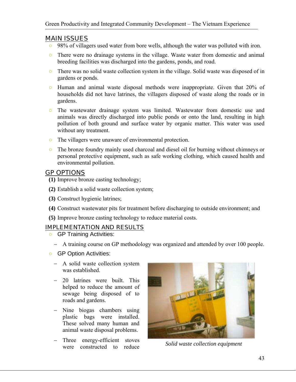- 98% of villagers used water from bore wells, although the water was polluted with iron.
- There were no drainage systems in the village. Waste water from domestic and animal breeding facilities was discharged into the gardens, ponds, and road.
- There was no solid waste collection system in the village. Solid waste was disposed of in gardens or ponds.
- Human and animal waste disposal methods were inappropriate. Given that 20% of households did not have latrines, the villagers disposed of waste along the roads or in gardens.
- The wastewater drainage system was limited. Wastewater from domestic use and animals was directly discharged into public ponds or onto the land, resulting in high pollution of both ground and surface water by organic matter. This water was used without any treatment.
- The villagers were unaware of environmental protection.
- The bronze foundry mainly used charcoal and diesel oil for burning without chimneys or personal protective equipment, such as safe working clothing, which caused health and environmental pollution.

## GP OPTIONS

- **(1)** Improve bronze casting technology;
- **(2)** Establish a solid waste collection system;
- **(3)** Construct hygienic latrines;
- **(4)** Construct wastewater pits for treatment before discharging to outside environment; and
- **(5)** Improve bronze casting technology to reduce material costs.

#### IMPLEMENTATION AND RESULTS

- GP Training Activities:
	- − A training course on GP methodology was organized and attended by over 100 people.
- GP Option Activities:
	- − A solid waste collection system was established.
	- − 20 latrines were built. This helped to reduce the amount of sewage being disposed of to roads and gardens.
	- − Nine biogas chambers using plastic bags were installed. These solved many human and animal waste disposal problems.
	- Three energy-efficient stoves were constructed to reduce *Solid waste collection equipment*

![](_page_42_Picture_23.jpeg)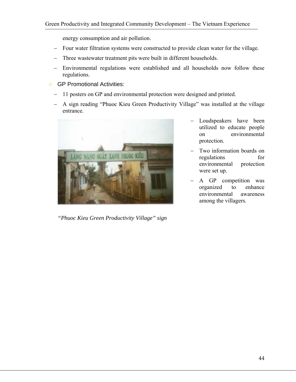energy consumption and air pollution.

- − Four water filtration systems were constructed to provide clean water for the village.
- − Three wastewater treatment pits were built in different households.
- − Environmental regulations were established and all households now follow these regulations.
- GP Promotional Activities:
	- − 11 posters on GP and environmental protection were designed and printed.
	- − A sign reading "Phuoc Kieu Green Productivity Village" was installed at the village entrance.

![](_page_43_Picture_8.jpeg)

*"Phuoc Kieu Green Productivity Village" sign*

- − Loudspeakers have been utilized to educate people on environmental protection.
- Two information boards on regulations for environmental protection were set up.
- A GP competition was organized to enhance environmental awareness among the villagers.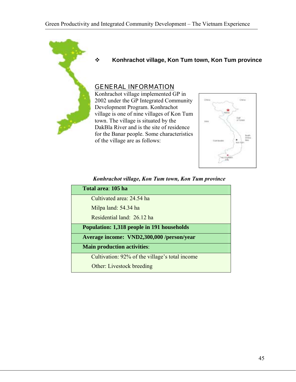![](_page_44_Picture_1.jpeg)

#### **Konhrachot village, Kon Tum town, Kon Tum province**

#### GENERAL INFORMATION

Konhrachot village implemented GP in 2002 under the GP Integrated Community Development Program. Konhrachot village is one of nine villages of Kon Tum town. The village is situated by the DakBla River and is the site of residence for the Banar people. Some characteristics of the village are as follows:

![](_page_44_Figure_5.jpeg)

| Konhrachot village, Kon Tum town, Kon Tum province |  |  |  |  |  |  |
|----------------------------------------------------|--|--|--|--|--|--|
|----------------------------------------------------|--|--|--|--|--|--|

| Total area: 105 ha                                |  |
|---------------------------------------------------|--|
| Cultivated area: 24.54 ha                         |  |
| Milpa land: 54.34 ha                              |  |
| Residential land: 26.12 ha                        |  |
| <b>Population: 1,318 people in 191 households</b> |  |
| Average income: VND2,300,000 /person/year         |  |
| <b>Main production activities:</b>                |  |
| Cultivation: 92% of the village's total income    |  |
| Other: Livestock breeding                         |  |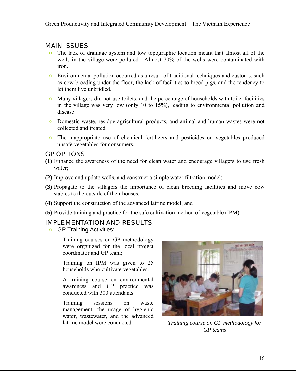- The lack of drainage system and low topographic location meant that almost all of the wells in the village were polluted. Almost 70% of the wells were contaminated with iron.
- Environmental pollution occurred as a result of traditional techniques and customs, such as cow breeding under the floor, the lack of facilities to breed pigs, and the tendency to let them live unbridled.
- Many villagers did not use toilets, and the percentage of households with toilet facilities in the village was very low (only 10 to 15%), leading to environmental pollution and disease.
- Domestic waste, residue agricultural products, and animal and human wastes were not collected and treated.
- The inappropriate use of chemical fertilizers and pesticides on vegetables produced unsafe vegetables for consumers.

#### GP OPTIONS

- **(1)** Enhance the awareness of the need for clean water and encourage villagers to use fresh water;
- **(2)** Improve and update wells, and construct a simple water filtration model;
- **(3)** Propagate to the villagers the importance of clean breeding facilities and move cow stables to the outside of their houses;
- **(4)** Support the construction of the advanced latrine model; and
- **(5)** Provide training and practice for the safe cultivation method of vegetable (IPM).

#### IMPLEMENTATION AND RESULTS

- GP Training Activities:
	- − Training courses on GP methodology were organized for the local project coordinator and GP team;
	- − Training on IPM was given to 25 households who cultivate vegetables.
	- − A training course on environmental awareness and GP practice was conducted with 300 attendants.
	- − Training sessions on waste management, the usage of hygienic water, wastewater, and the advanced latrine model were conducted. *Training course on GP methodology for*

![](_page_45_Picture_19.jpeg)

*GP teams*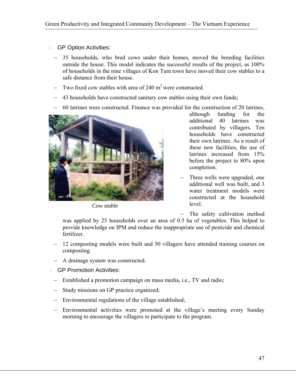- GP Option Activities:
	- 35 households, who bred cows under their homes, moved the breeding facilities outside the house. This model indicates the successful results of the project, as 100% of households in the nine villages of Kon Tum town have moved their cow stables to a safe distance from their house.
	- Two fixed cow stables with area of 240  $m<sup>2</sup>$  were constructed.
	- 43 households have constructed sanitary cow stables using their own funds;
	- − 60 latrines were constructed. Finance was provided for the construction of 20 latrines,

![](_page_46_Picture_6.jpeg)

*Cow stable*

although funding for the additional 40 latrines was contributed by villagers. Ten households have constructed their own latrines. As a result of these new facilities, the use of latrines increased from 15% before the project to 80% upon completion.

- Three wells were upgraded, one additional well was built, and 3 water treatment models were constructed at the household level.
- − The safety cultivation method

was applied by 25 households over an area of 0.5 ha of vegetables. This helped to provide knowledge on IPM and reduce the inappropriate use of pesticide and chemical fertilizer.

- 12 composting models were built and 50 villagers have attended training courses on composting.
- − A drainage system was constructed.
- GP Promotion Activities:
	- − Established a promotion campaign on mass media, i.e., TV and radio;
	- − Study missions on GP practice organized;
	- − Environmental regulations of the village established;
	- Environmental activities were promoted at the village's meeting every Sunday morning to encourage the villagers to participate to the program.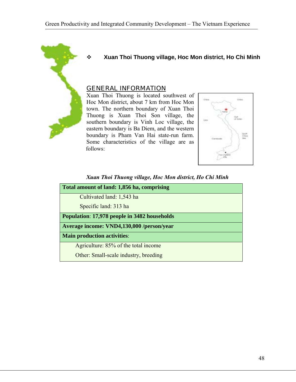![](_page_47_Picture_1.jpeg)

#### **Xuan Thoi Thuong village, Hoc Mon district, Ho Chi Minh**

#### GENERAL INFORMATION

Xuan Thoi Thuong is located southwest of Hoc Mon district, about 7 km from Hoc Mon town. The northern boundary of Xuan Thoi Thuong is Xuan Thoi Son village, the southern boundary is Vinh Loc village, the eastern boundary is Ba Diem, and the western boundary is Pham Van Hai state-run farm. Some characteristics of the village are as follows:

![](_page_47_Figure_5.jpeg)

*Xuan Thoi Thuong village, Hoc Mon district, Ho Chi Minh* 

| Total amount of land: 1,856 ha, comprising   |
|----------------------------------------------|
| Cultivated land: 1,543 ha                    |
| Specific land: 313 ha                        |
| Population: 17,978 people in 3482 households |
| Average income: VND4,130,000 /person/year    |
| <b>Main production activities:</b>           |
| Agriculture: 85% of the total income         |
| Other: Small-scale industry, breeding        |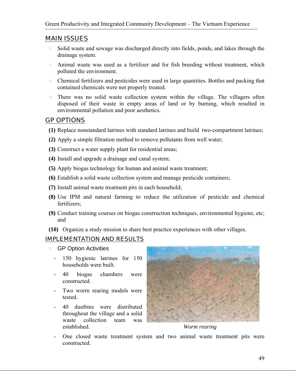- Solid waste and sewage was discharged directly into fields, ponds, and lakes through the drainage system.
- Animal waste was used as a fertilizer and for fish breeding without treatment, which polluted the environment.
- Chemical fertilizers and pesticides were used in large quantities. Bottles and packing that contained chemicals were not properly treated.
- There was no solid waste collection system within the village. The villagers often disposed of their waste in empty areas of land or by burning, which resulted in environmental pollution and poor aesthetics.

## GP OPTIONS

- **(1)** Replace nonstandard latrines with standard latrines and build two-compartment latrines;
- **(2)** Apply a simple filtration method to remove pollutants from well water;
- **(3)** Construct a water supply plant for residential areas;
- **(4)** Install and upgrade a drainage and canal system;
- **(5)** Apply biogas technology for human and animal waste treatment;
- **(6)** Establish a solid waste collection system and manage pesticide containers;
- **(7)** Install animal waste treatment pits in each household;
- **(8)** Use IPM and natural farming to reduce the utilization of pesticide and chemical fertilizers;
- **(9)** Conduct training courses on biogas construction techniques, environmental hygiene, etc; and
- **(10)** Organize a study mission to share best practice experiences with other villages.

#### IMPLEMENTATION AND RESULTS

- GP Option Activities
	- 150 hygienic latrines for 150 households were built.
	- 40 biogas chambers were constructed.
	- Two worm rearing models were tested.
	- 40 dustbins were distributed throughout the village and a solid waste collection team was established.

![](_page_48_Picture_23.jpeg)

*Worm rearing* 

- One closed waste treatment system and two animal waste treatment pits were constructed.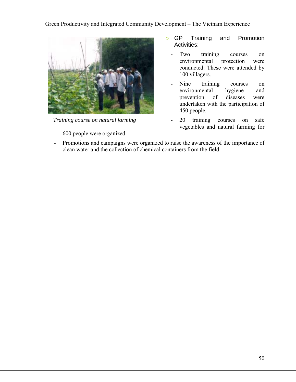![](_page_49_Picture_1.jpeg)

*Training course on natural farming* 

600 people were organized.

- GP Training and Promotion Activities:
	- Two training courses on environmental protection were conducted. These were attended by 100 villagers.
	- Nine training courses on environmental hygiene and prevention of diseases were undertaken with the participation of 450 people.
	- 20 training courses on safe vegetables and natural farming for
- Promotions and campaigns were organized to raise the awareness of the importance of clean water and the collection of chemical containers from the field.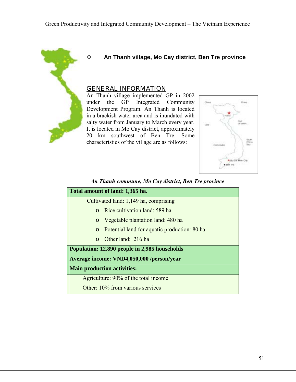![](_page_50_Picture_1.jpeg)

**An Thanh village, Mo Cay district, Ben Tre province** 

#### GENERAL INFORMATION

An Thanh village implemented GP in 2002 under the GP Integrated Community Development Program. An Thanh is located in a brackish water area and is inundated with salty water from January to March every year. It is located in Mo Cay district, approximately 20 km southwest of Ben Tre. Some characteristics of the village are as follows:

![](_page_50_Figure_5.jpeg)

#### *An Thanh commune, Mo Cay district, Ben Tre province*

|          | Total amount of land: 1,365 ha.               |
|----------|-----------------------------------------------|
|          | Cultivated land: 1,149 ha, comprising         |
|          | Rice cultivation land: 589 ha                 |
| $\circ$  | Vegetable plantation land: 480 ha             |
| $\circ$  | Potential land for aquatic production: 80 has |
| $\Omega$ | Other land: 216 ha                            |
|          | Population: 12,890 people in 2,985 households |
|          | Average income: VND4,050,000 /person/year     |
|          | <b>Main production activities:</b>            |
|          | Agriculture: 90% of the total income          |
|          | Other: 10% from various services              |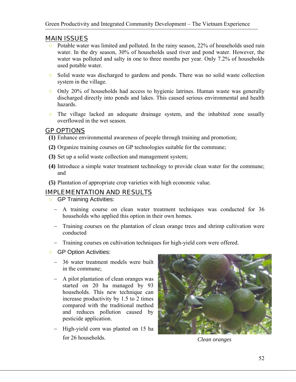- Potable water was limited and polluted. In the rainy season, 22% of households used rain water. In the dry season, 30% of households used river and pond water. However, the water was polluted and salty in one to three months per year. Only 7.2% of households used potable water.
- Solid waste was discharged to gardens and ponds. There was no solid waste collection system in the village.
- Only 20% of households had access to hygienic latrines. Human waste was generally discharged directly into ponds and lakes. This caused serious environmental and health hazards.
- The village lacked an adequate drainage system, and the inhabited zone usually overflowed in the wet season.

## GP OPTIONS

- **(1)** Enhance environmental awareness of people through training and promotion;
- **(2)** Organize training courses on GP technologies suitable for the commune;
- **(3)** Set up a solid waste collection and management system;
- **(4)** Introduce a simple water treatment technology to provide clean water for the commune; and
- **(5)** Plantation of appropriate crop varieties with high economic value.

## IMPLEMENTATION AND RESULTS

- GP Training Activities:
	- − A training course on clean water treatment techniques was conducted for 36 households who applied this option in their own homes.
	- − Training courses on the plantation of clean orange trees and shrimp cultivation were conducted
	- − Training courses on cultivation techniques for high-yield corn were offered.
- GP Option Activities:
	- − 36 water treatment models were built in the commune;
	- − A pilot plantation of clean oranges was started on 20 ha managed by 93 households. This new technique can increase productivity by 1.5 to 2 times compared with the traditional method and reduces pollution caused by pesticide application.
	- High-yield corn was planted on 15 ha for 26 households.

![](_page_51_Picture_21.jpeg)

*Clean oranges*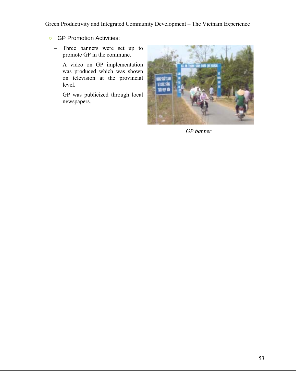- GP Promotion Activities:
	- − Three banners were set up to promote GP in the commune.
	- − A video on GP implementation was produced which was shown on television at the provincial level.
	- − GP was publicized through local newspapers.

![](_page_52_Picture_5.jpeg)

*GP banner*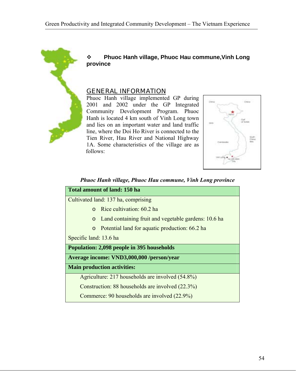![](_page_53_Picture_1.jpeg)

 **Phuoc Hanh village, Phuoc Hau commune,Vinh Long province** 

#### GENERAL INFORMATION

Phuoc Hanh village implemented GP during 2001 and 2002 under the GP Integrated Community Development Program. Phuoc Hanh is located 4 km south of Vinh Long town and lies on an important water and land traffic line, where the Doi Ho River is connected to the Tien River, Hau River and National Highway 1A. Some characteristics of the village are as follows:

![](_page_53_Figure_5.jpeg)

| <b>Total amount of land: 150 ha</b>                             |
|-----------------------------------------------------------------|
| Cultivated land: 137 ha, comprising                             |
| Rice cultivation: 60.2 ha<br>$\Omega$                           |
| Land containing fruit and vegetable gardens: 10.6 ha<br>$\circ$ |
| Potential land for aquatic production: 66.2 ha<br>$\circ$       |
| Specific land: 13.6 ha                                          |
| Population: 2,098 people in 395 households                      |
| Average income: VND3,000,000 /person/year                       |
| <b>Main production activities:</b>                              |
| Agriculture: 217 households are involved (54.8%)                |
| Construction: 88 households are involved (22.3%)                |
| Commerce: 90 households are involved (22.9%)                    |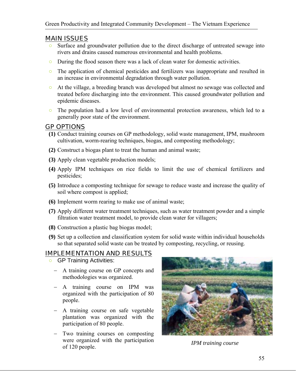- Surface and groundwater pollution due to the direct discharge of untreated sewage into rivers and drains caused numerous environmental and health problems.
- During the flood season there was a lack of clean water for domestic activities.
- The application of chemical pesticides and fertilizers was inappropriate and resulted in an increase in environmental degradation through water pollution.
- At the village, a breeding branch was developed but almost no sewage was collected and treated before discharging into the environment. This caused groundwater pollution and epidemic diseases.
- The population had a low level of environmental protection awareness, which led to a generally poor state of the environment.

## GP OPTIONS

- **(1)** Conduct training courses on GP methodology, solid waste management, IPM, mushroom cultivation, worm-rearing techniques, biogas, and composting methodology;
- **(2)** Construct a biogas plant to treat the human and animal waste;
- **(3)** Apply clean vegetable production models;
- **(4)** Apply IPM techniques on rice fields to limit the use of chemical fertilizers and pesticides;
- **(5)** Introduce a composting technique for sewage to reduce waste and increase the quality of soil where compost is applied;
- **(6)** Implement worm rearing to make use of animal waste;
- **(7)** Apply different water treatment techniques, such as water treatment powder and a simple filtration water treatment model, to provide clean water for villagers;
- **(8)** Construction a plastic bag biogas model;
- **(9)** Set up a collection and classification system for solid waste within individual households so that separated solid waste can be treated by composting, recycling, or reusing.

## IMPLEMENTATION AND RESULTS

- GP Training Activities:
	- − A training course on GP concepts and methodologies was organized.
	- − A training course on IPM was organized with the participation of 80 people.
	- − A training course on safe vegetable plantation was organized with the participation of 80 people.
	- Two training courses on composting were organized with the participation of 120 people. *IPM training course*

![](_page_54_Picture_23.jpeg)